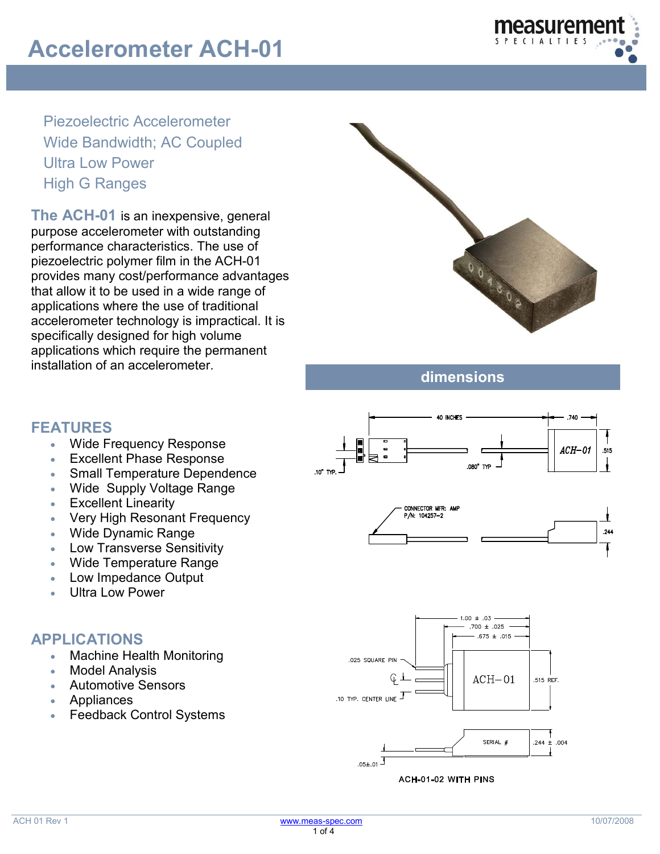

Piezoelectric Accelerometer Wide Bandwidth; AC Coupled Ultra Low Power High G Ranges

**The ACH-01** is an inexpensive, general purpose accelerometer with outstanding performance characteristics. The use of piezoelectric polymer film in the ACH-01 provides many cost/performance advantages that allow it to be used in a wide range of applications where the use of traditional accelerometer technology is impractical. It is specifically designed for high volume applications which require the permanent installation of an accelerometer.



**dimensions**

### **FEATURES**

- Wide Frequency Response
- **Excellent Phase Response**
- Small Temperature Dependence
- Wide Supply Voltage Range
- **Excellent Linearity**
- Very High Resonant Frequency
- Wide Dynamic Range
- Low Transverse Sensitivity
- Wide Temperature Range
- Low Impedance Output
- Ultra Low Power

#### **APPLICATIONS**

- Machine Health Monitoring
- **Model Analysis**
- Automotive Sensors
- **Appliances**
- **Feedback Control Systems**

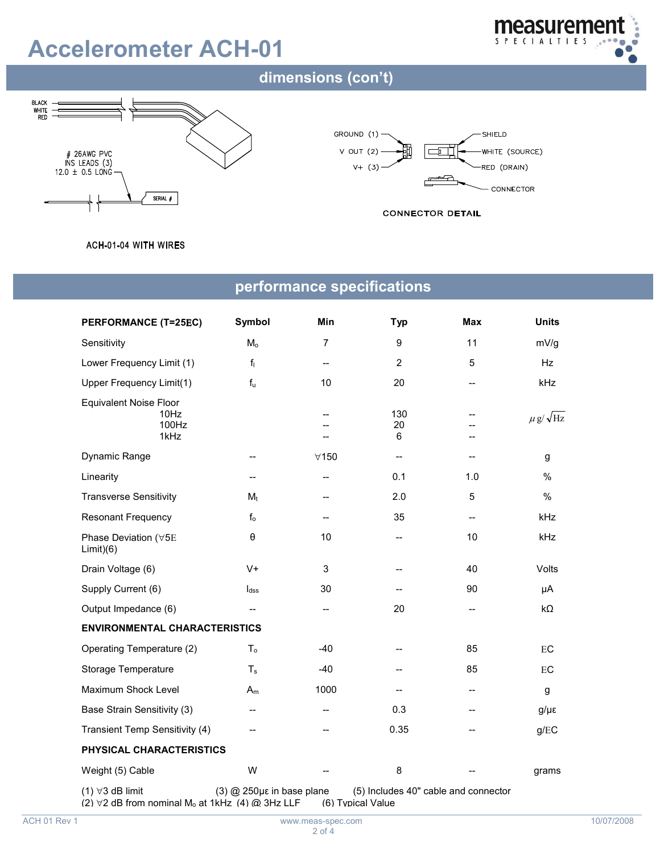# **Accelerometer ACH-01**



### dimensions (con't)







#### ACH-01-04 WITH WIRES

### **performance specifications**

| <b>PERFORMANCE (T=25EC)</b>                                                                               | Symbol                          | Min               | <b>Typ</b>                           | Max                                                 | <b>Units</b>         |  |
|-----------------------------------------------------------------------------------------------------------|---------------------------------|-------------------|--------------------------------------|-----------------------------------------------------|----------------------|--|
| Sensitivity                                                                                               | M <sub>o</sub>                  | 7                 | $\boldsymbol{9}$                     | 11                                                  | mV/g                 |  |
| Lower Frequency Limit (1)                                                                                 | $f_1$                           | --                | $\overline{2}$                       | 5                                                   | Hz                   |  |
| Upper Frequency Limit(1)                                                                                  | $f_u$                           | 10                | 20                                   | $-$                                                 | kHz                  |  |
| <b>Equivalent Noise Floor</b><br>10Hz<br>100Hz<br>1kHz                                                    |                                 | $-$               | 130<br>20<br>6                       | --                                                  | $\mu$ g/ $\sqrt{Hz}$ |  |
| Dynamic Range                                                                                             | $-$                             | $\forall$ 150     |                                      |                                                     | g                    |  |
| Linearity                                                                                                 | $\overline{a}$                  | $-$               | 0.1                                  | 1.0                                                 | %                    |  |
| <b>Transverse Sensitivity</b>                                                                             | $M_t$                           | --                | 2.0                                  | 5                                                   | %                    |  |
| <b>Resonant Frequency</b>                                                                                 | $f_{o}$                         | --                | 35                                   | $\hspace{0.05cm} -\hspace{0.05cm} -\hspace{0.05cm}$ | kHz                  |  |
| Phase Deviation (∀5E<br>Limit)(6)                                                                         | $\boldsymbol{\theta}$           | 10                | $-$                                  | 10                                                  | kHz                  |  |
| Drain Voltage (6)                                                                                         | $V +$                           | 3                 | --                                   | 40                                                  | Volts                |  |
| Supply Current (6)                                                                                        | $I_{dss}$                       | 30                |                                      | 90                                                  | μA                   |  |
| Output Impedance (6)                                                                                      | $\overline{\phantom{a}}$        | --                | 20                                   | --                                                  | $k\Omega$            |  |
| <b>ENVIRONMENTAL CHARACTERISTICS</b>                                                                      |                                 |                   |                                      |                                                     |                      |  |
| Operating Temperature (2)                                                                                 | $T_{\rm o}$                     | -40               |                                      | 85                                                  | EC                   |  |
| Storage Temperature                                                                                       | $T_s$                           | $-40$             |                                      | 85                                                  | $\mathop{\text{EC}}$ |  |
| Maximum Shock Level                                                                                       | $A_m$                           | 1000              | $\overline{\phantom{a}}$             | --                                                  | g                    |  |
| Base Strain Sensitivity (3)                                                                               | --                              | --                | 0.3                                  | --                                                  | $g/\mu\epsilon$      |  |
| Transient Temp Sensitivity (4)                                                                            |                                 | $-$               | 0.35                                 | --                                                  | g/EC                 |  |
| PHYSICAL CHARACTERISTICS                                                                                  |                                 |                   |                                      |                                                     |                      |  |
| Weight (5) Cable                                                                                          | W                               |                   | 8                                    |                                                     | grams                |  |
| $(1)$ $\forall$ 3 dB limit<br>(2) $\forall$ 2 dB from nominal M <sub>o</sub> at 1kHz (4) $\omega$ 3Hz LLF | $(3)$ @ 250 $\mu$ in base plane | (6) Typical Value | (5) Includes 40" cable and connector |                                                     |                      |  |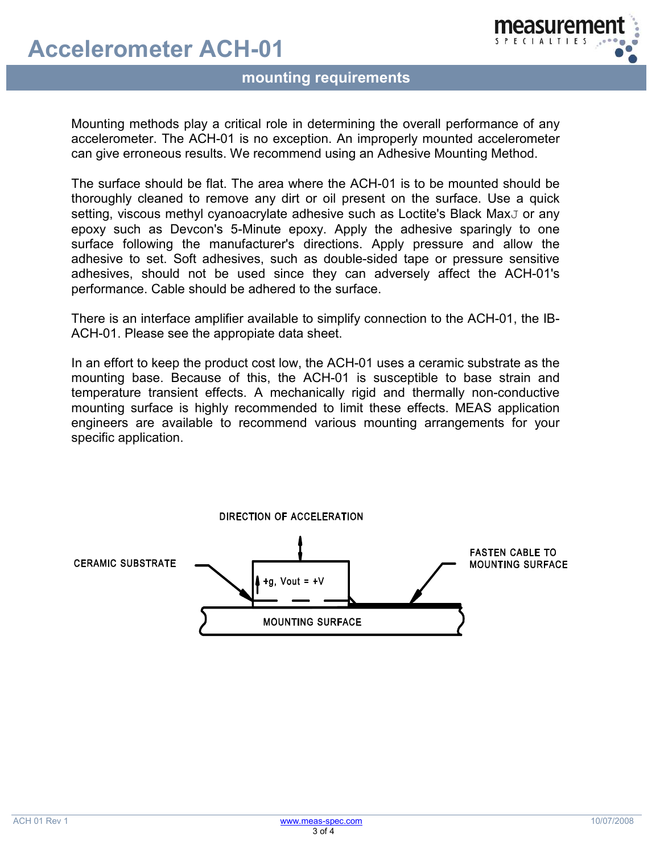## **Accelerometer ACH-01**



### **Phonomical requirements**

Mounting methods play a critical role in determining the overall performance of any accelerometer. The ACH-01 is no exception. An improperly mounted accelerometer can give erroneous results. We recommend using an Adhesive Mounting Method.

The surface should be flat. The area where the ACH-01 is to be mounted should be thoroughly cleaned to remove any dirt or oil present on the surface. Use a quick setting, viscous methyl cyanoacrylate adhesive such as Loctite's Black Max<sub>J</sub> or any epoxy such as Devcon's 5-Minute epoxy. Apply the adhesive sparingly to one surface following the manufacturer's directions. Apply pressure and allow the adhesive to set. Soft adhesives, such as double-sided tape or pressure sensitive adhesives, should not be used since they can adversely affect the ACH-01's performance. Cable should be adhered to the surface.

There is an interface amplifier available to simplify connection to the ACH-01, the IB-ACH-01. Please see the appropiate data sheet.

In an effort to keep the product cost low, the ACH-01 uses a ceramic substrate as the mounting base. Because of this, the ACH-01 is susceptible to base strain and temperature transient effects. A mechanically rigid and thermally non-conductive mounting surface is highly recommended to limit these effects. MEAS application engineers are available to recommend various mounting arrangements for your specific application.